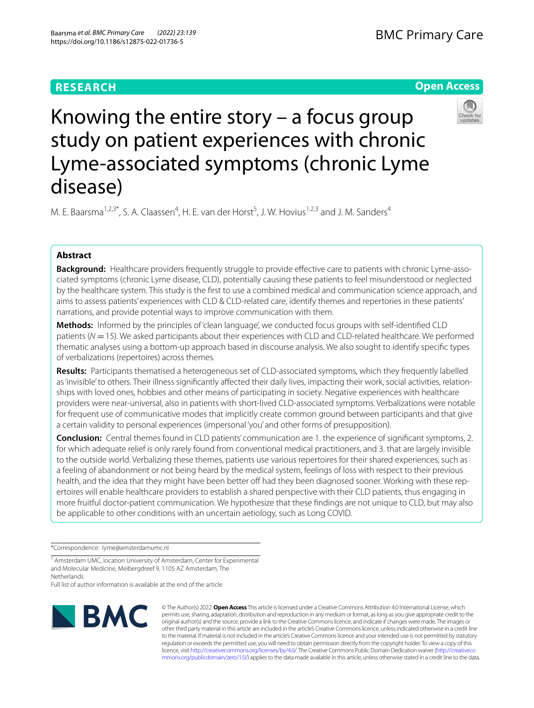# **RESEARCH**

# **Open Access**



Knowing the entire story – a focus group study on patient experiences with chronic Lyme-associated symptoms (chronic Lyme disease)

M. E. Baarsma<sup>1,2,3\*</sup>, S. A. Claassen<sup>4</sup>, H. E. van der Horst<sup>5</sup>, J. W. Hovius<sup>1,2,3</sup> and J. M. Sanders<sup>4</sup>

# **Abstract**

**Background:** Healthcare providers frequently struggle to provide efective care to patients with chronic Lyme-associated symptoms (chronic Lyme disease, CLD), potentially causing these patients to feel misunderstood or neglected by the healthcare system. This study is the frst to use a combined medical and communication science approach, and aims to assess patients' experiences with CLD & CLD-related care, identify themes and repertories in these patients' narrations, and provide potential ways to improve communication with them.

**Methods:** Informed by the principles of 'clean language', we conducted focus groups with self-identifed CLD patients (*N* = 15). We asked participants about their experiences with CLD and CLD-related healthcare. We performed thematic analyses using a bottom-up approach based in discourse analysis. We also sought to identify specifc types of verbalizations (repertoires) across themes.

**Results:** Participants thematised a heterogeneous set of CLD-associated symptoms, which they frequently labelled as 'invisible' to others. Their illness significantly affected their daily lives, impacting their work, social activities, relationships with loved ones, hobbies and other means of participating in society. Negative experiences with healthcare providers were near-universal, also in patients with short-lived CLD-associated symptoms. Verbalizations were notable for frequent use of communicative modes that implicitly create common ground between participants and that give a certain validity to personal experiences (impersonal 'you' and other forms of presupposition).

**Conclusion:** Central themes found in CLD patients' communication are 1. the experience of signifcant symptoms, 2. for which adequate relief is only rarely found from conventional medical practitioners, and 3. that are largely invisible to the outside world. Verbalizing these themes, patients use various repertoires for their shared experiences, such as a feeling of abandonment or not being heard by the medical system, feelings of loss with respect to their previous health, and the idea that they might have been better off had they been diagnosed sooner. Working with these repertoires will enable healthcare providers to establish a shared perspective with their CLD patients, thus engaging in more fruitful doctor-patient communication. We hypothesize that these fndings are not unique to CLD, but may also be applicable to other conditions with an uncertain aetiology, such as Long COVID.

\*Correspondence: lyme@amsterdamumc.nl

<sup>1</sup> Amsterdam UMC, location University of Amsterdam, Center for Experimental and Molecular Medicine, Meibergdreef 9, 1105 AZ Amsterdam, The **Netherlands** 

Full list of author information is available at the end of the article



© The Author(s) 2022. **Open Access** This article is licensed under a Creative Commons Attribution 4.0 International License, which permits use, sharing, adaptation, distribution and reproduction in any medium or format, as long as you give appropriate credit to the original author(s) and the source, provide a link to the Creative Commons licence, and indicate if changes were made. The images or other third party material in this article are included in the article's Creative Commons licence, unless indicated otherwise in a credit line to the material. If material is not included in the article's Creative Commons licence and your intended use is not permitted by statutory regulation or exceeds the permitted use, you will need to obtain permission directly from the copyright holder. To view a copy of this licence, visit [http://creativecommons.org/licenses/by/4.0/.](http://creativecommons.org/licenses/by/4.0/) The Creative Commons Public Domain Dedication waiver ([http://creativeco](http://creativecommons.org/publicdomain/zero/1.0/) [mmons.org/publicdomain/zero/1.0/](http://creativecommons.org/publicdomain/zero/1.0/)) applies to the data made available in this article, unless otherwise stated in a credit line to the data.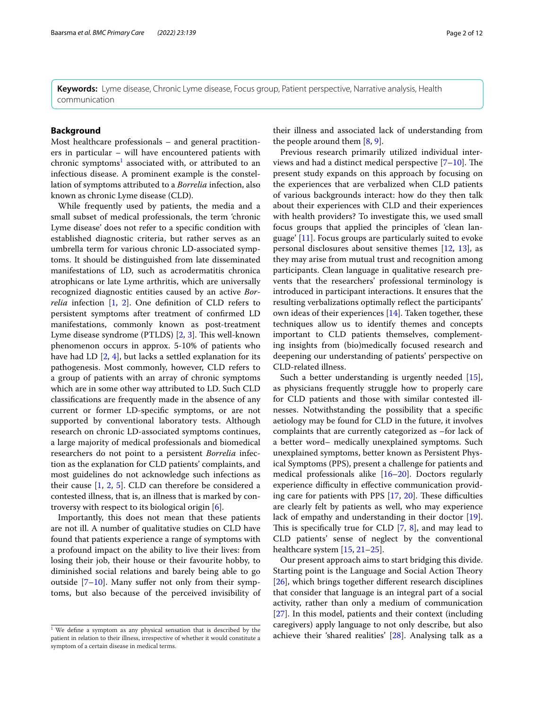**Keywords:** Lyme disease, Chronic Lyme disease, Focus group, Patient perspective, Narrative analysis, Health communication

# **Background**

Most healthcare professionals – and general practitioners in particular – will have encountered patients with chronic symptoms<sup>[1](#page-1-0)</sup> associated with, or attributed to an infectious disease. A prominent example is the constellation of symptoms attributed to a *Borrelia* infection, also known as chronic Lyme disease (CLD).

While frequently used by patients, the media and a small subset of medical professionals, the term 'chronic Lyme disease' does not refer to a specifc condition with established diagnostic criteria, but rather serves as an umbrella term for various chronic LD-associated symptoms. It should be distinguished from late disseminated manifestations of LD, such as acrodermatitis chronica atrophicans or late Lyme arthritis, which are universally recognized diagnostic entities caused by an active *Borrelia* infection [\[1](#page-10-0), [2](#page-10-1)]. One defnition of CLD refers to persistent symptoms after treatment of confrmed LD manifestations, commonly known as post-treatment Lyme disease syndrome (PTLDS) [[2](#page-10-1), [3](#page-10-2)]. This well-known phenomenon occurs in approx. 5-10% of patients who have had LD [\[2](#page-10-1), [4](#page-10-3)], but lacks a settled explanation for its pathogenesis. Most commonly, however, CLD refers to a group of patients with an array of chronic symptoms which are in some other way attributed to LD. Such CLD classifcations are frequently made in the absence of any current or former LD-specifc symptoms, or are not supported by conventional laboratory tests. Although research on chronic LD-associated symptoms continues, a large majority of medical professionals and biomedical researchers do not point to a persistent *Borrelia* infection as the explanation for CLD patients' complaints, and most guidelines do not acknowledge such infections as their cause  $[1, 2, 5]$  $[1, 2, 5]$  $[1, 2, 5]$  $[1, 2, 5]$  $[1, 2, 5]$  $[1, 2, 5]$ . CLD can therefore be considered a contested illness, that is, an illness that is marked by controversy with respect to its biological origin [[6](#page-10-5)].

Importantly, this does not mean that these patients are not ill. A number of qualitative studies on CLD have found that patients experience a range of symptoms with a profound impact on the ability to live their lives: from losing their job, their house or their favourite hobby, to diminished social relations and barely being able to go outside  $[7-10]$  $[7-10]$ . Many suffer not only from their symptoms, but also because of the perceived invisibility of

their illness and associated lack of understanding from the people around them [\[8](#page-10-8), [9\]](#page-10-9).

Previous research primarily utilized individual interviews and had a distinct medical perspective  $[7-10]$  $[7-10]$ . The present study expands on this approach by focusing on the experiences that are verbalized when CLD patients of various backgrounds interact: how do they then talk about their experiences with CLD and their experiences with health providers? To investigate this, we used small focus groups that applied the principles of 'clean language' [\[11](#page-10-10)]. Focus groups are particularly suited to evoke personal disclosures about sensitive themes [\[12](#page-10-11), [13\]](#page-10-12), as they may arise from mutual trust and recognition among participants. Clean language in qualitative research prevents that the researchers' professional terminology is introduced in participant interactions. It ensures that the resulting verbalizations optimally refect the participants' own ideas of their experiences [[14\]](#page-10-13). Taken together, these techniques allow us to identify themes and concepts important to CLD patients themselves, complementing insights from (bio)medically focused research and deepening our understanding of patients' perspective on CLD-related illness.

Such a better understanding is urgently needed [\[15](#page-10-14)], as physicians frequently struggle how to properly care for CLD patients and those with similar contested illnesses. Notwithstanding the possibility that a specifc aetiology may be found for CLD in the future, it involves complaints that are currently categorized as –for lack of a better word– medically unexplained symptoms. Such unexplained symptoms, better known as Persistent Physical Symptoms (PPS), present a challenge for patients and medical professionals alike [[16–](#page-10-15)[20\]](#page-10-16). Doctors regularly experience difficulty in effective communication providing care for patients with PPS  $[17, 20]$  $[17, 20]$  $[17, 20]$  $[17, 20]$ . These difficulties are clearly felt by patients as well, who may experience lack of empathy and understanding in their doctor [\[19](#page-10-18)]. This is specifically true for CLD  $[7, 8]$  $[7, 8]$  $[7, 8]$ , and may lead to CLD patients' sense of neglect by the conventional healthcare system [\[15](#page-10-14), [21–](#page-10-19)[25](#page-10-20)].

Our present approach aims to start bridging this divide. Starting point is the Language and Social Action Theory [[26\]](#page-10-21), which brings together diferent research disciplines that consider that language is an integral part of a social activity, rather than only a medium of communication [[27\]](#page-10-22). In this model, patients and their context (including caregivers) apply language to not only describe, but also achieve their 'shared realities' [[28\]](#page-10-23). Analysing talk as a

<span id="page-1-0"></span> $1$  We define a symptom as any physical sensation that is described by the patient in relation to their illness, irrespective of whether it would constitute a symptom of a certain disease in medical terms.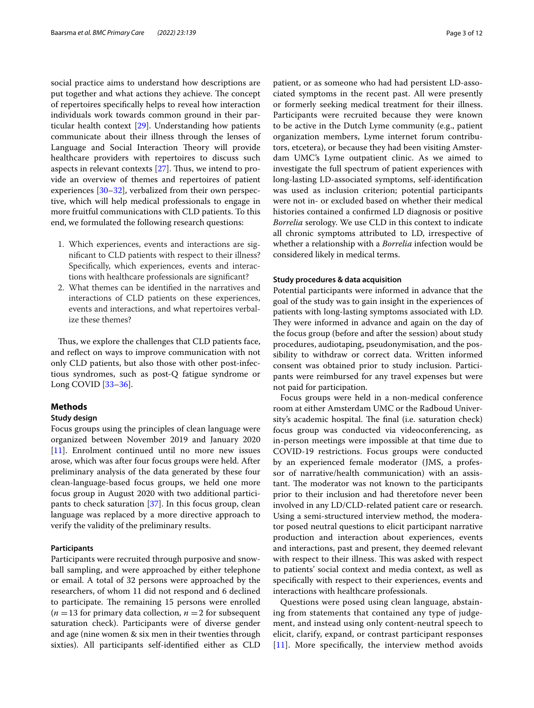social practice aims to understand how descriptions are put together and what actions they achieve. The concept of repertoires specifcally helps to reveal how interaction individuals work towards common ground in their particular health context [\[29](#page-10-24)]. Understanding how patients communicate about their illness through the lenses of Language and Social Interaction Theory will provide healthcare providers with repertoires to discuss such aspects in relevant contexts  $[27]$  $[27]$ . Thus, we intend to provide an overview of themes and repertoires of patient experiences [[30–](#page-10-25)[32](#page-10-26)], verbalized from their own perspective, which will help medical professionals to engage in more fruitful communications with CLD patients. To this end, we formulated the following research questions:

- 1. Which experiences, events and interactions are signifcant to CLD patients with respect to their illness? Specifcally, which experiences, events and interactions with healthcare professionals are signifcant?
- 2. What themes can be identifed in the narratives and interactions of CLD patients on these experiences, events and interactions, and what repertoires verbalize these themes?

Thus, we explore the challenges that CLD patients face, and refect on ways to improve communication with not only CLD patients, but also those with other post-infectious syndromes, such as post-Q fatigue syndrome or Long COVID [\[33](#page-10-27)[–36\]](#page-11-0).

## **Methods**

### **Study design**

Focus groups using the principles of clean language were organized between November 2019 and January 2020 [[11\]](#page-10-10). Enrolment continued until no more new issues arose, which was after four focus groups were held. After preliminary analysis of the data generated by these four clean-language-based focus groups, we held one more focus group in August 2020 with two additional participants to check saturation [\[37](#page-11-1)]. In this focus group, clean language was replaced by a more directive approach to verify the validity of the preliminary results.

# **Participants**

Participants were recruited through purposive and snowball sampling, and were approached by either telephone or email. A total of 32 persons were approached by the researchers, of whom 11 did not respond and 6 declined to participate. The remaining 15 persons were enrolled  $(n = 13$  for primary data collection,  $n = 2$  for subsequent saturation check). Participants were of diverse gender and age (nine women & six men in their twenties through sixties). All participants self-identifed either as CLD patient, or as someone who had had persistent LD-associated symptoms in the recent past. All were presently or formerly seeking medical treatment for their illness. Participants were recruited because they were known to be active in the Dutch Lyme community (e.g., patient organization members, Lyme internet forum contributors, etcetera), or because they had been visiting Amsterdam UMC's Lyme outpatient clinic. As we aimed to investigate the full spectrum of patient experiences with long-lasting LD-associated symptoms, self-identifcation was used as inclusion criterion; potential participants were not in- or excluded based on whether their medical histories contained a confrmed LD diagnosis or positive *Borrelia* serology. We use CLD in this context to indicate

all chronic symptoms attributed to LD, irrespective of whether a relationship with a *Borrelia* infection would be considered likely in medical terms.

### **Study procedures & data acquisition**

Potential participants were informed in advance that the goal of the study was to gain insight in the experiences of patients with long-lasting symptoms associated with LD. They were informed in advance and again on the day of the focus group (before and after the session) about study procedures, audiotaping, pseudonymisation, and the possibility to withdraw or correct data. Written informed consent was obtained prior to study inclusion. Participants were reimbursed for any travel expenses but were not paid for participation.

Focus groups were held in a non-medical conference room at either Amsterdam UMC or the Radboud University's academic hospital. The final (i.e. saturation check) focus group was conducted via videoconferencing, as in-person meetings were impossible at that time due to COVID-19 restrictions. Focus groups were conducted by an experienced female moderator (JMS, a professor of narrative/health communication) with an assistant. The moderator was not known to the participants prior to their inclusion and had theretofore never been involved in any LD/CLD-related patient care or research. Using a semi-structured interview method, the moderator posed neutral questions to elicit participant narrative production and interaction about experiences, events and interactions, past and present, they deemed relevant with respect to their illness. This was asked with respect to patients' social context and media context, as well as specifcally with respect to their experiences, events and interactions with healthcare professionals.

Questions were posed using clean language, abstaining from statements that contained any type of judgement, and instead using only content-neutral speech to elicit, clarify, expand, or contrast participant responses [[11](#page-10-10)]. More specifically, the interview method avoids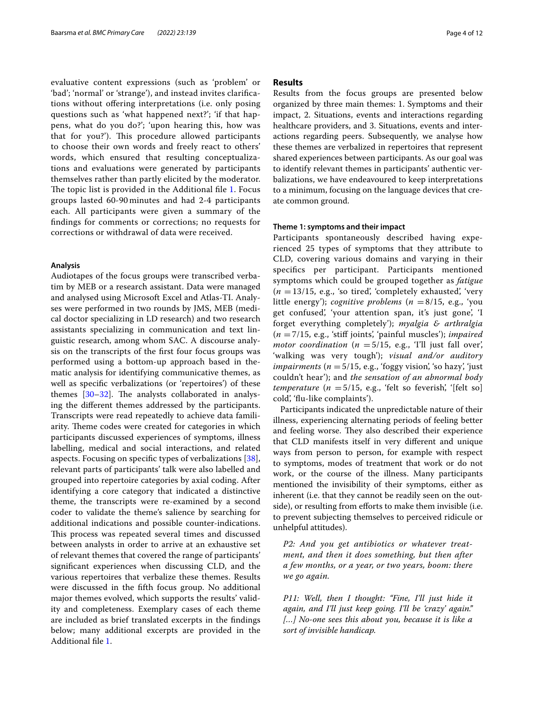evaluative content expressions (such as 'problem' or 'bad'; 'normal' or 'strange'), and instead invites clarifcations without ofering interpretations (i.e. only posing questions such as 'what happened next?'; 'if that happens, what do you do?'; 'upon hearing this, how was that for you?'). This procedure allowed participants to choose their own words and freely react to others' words, which ensured that resulting conceptualizations and evaluations were generated by participants themselves rather than partly elicited by the moderator. The topic list is provided in the Additional file [1.](#page-9-0) Focus groups lasted 60-90 minutes and had 2-4 participants each. All participants were given a summary of the fndings for comments or corrections; no requests for corrections or withdrawal of data were received.

#### **Analysis**

Audiotapes of the focus groups were transcribed verbatim by MEB or a research assistant. Data were managed and analysed using Microsoft Excel and Atlas-TI. Analyses were performed in two rounds by JMS, MEB (medical doctor specializing in LD research) and two research assistants specializing in communication and text linguistic research, among whom SAC. A discourse analysis on the transcripts of the frst four focus groups was performed using a bottom-up approach based in thematic analysis for identifying communicative themes, as well as specifc verbalizations (or 'repertoires') of these themes  $[30-32]$  $[30-32]$ . The analysts collaborated in analysing the diferent themes addressed by the participants. Transcripts were read repeatedly to achieve data familiarity. Theme codes were created for categories in which participants discussed experiences of symptoms, illness labelling, medical and social interactions, and related aspects. Focusing on specifc types of verbalizations [\[38](#page-11-2)], relevant parts of participants' talk were also labelled and grouped into repertoire categories by axial coding. After identifying a core category that indicated a distinctive theme, the transcripts were re-examined by a second coder to validate the theme's salience by searching for additional indications and possible counter-indications. This process was repeated several times and discussed between analysts in order to arrive at an exhaustive set of relevant themes that covered the range of participants' signifcant experiences when discussing CLD, and the various repertoires that verbalize these themes. Results were discussed in the ffth focus group. No additional major themes evolved, which supports the results' validity and completeness. Exemplary cases of each theme are included as brief translated excerpts in the fndings below; many additional excerpts are provided in the Additional fle [1.](#page-9-0)

# **Results**

Results from the focus groups are presented below organized by three main themes: 1. Symptoms and their impact, 2. Situations, events and interactions regarding healthcare providers, and 3. Situations, events and interactions regarding peers. Subsequently, we analyse how these themes are verbalized in repertoires that represent shared experiences between participants. As our goal was to identify relevant themes in participants' authentic verbalizations, we have endeavoured to keep interpretations to a minimum, focusing on the language devices that create common ground.

## **Theme 1: symptoms and their impact**

Participants spontaneously described having experienced 25 types of symptoms that they attribute to CLD, covering various domains and varying in their specifcs per participant. Participants mentioned symptoms which could be grouped together as *fatigue*  $(n = 13/15, e.g., 'so tired,'completely exhausted,'very')$ little energy'); *cognitive problems* (*n* =8/15, e.g., 'you get confused', 'your attention span, it's just gone', 'I forget everything completely'); *myalgia & arthralgia* (*n* =7/15, e.g., 'stif joints', 'painful muscles'); *impaired motor coordination* ( $n = 5/15$ , e.g., 'I'll just fall over', 'walking was very tough'); *visual and/or auditory impairments*  $(n = 5/15, e.g., 'foggy vision,' so hay,'just$ couldn't hear'); and *the sensation of an abnormal body temperature*  $(n = 5/15, e.g., 'felt so feverish,' [felt so]$ cold', 'fu-like complaints').

Participants indicated the unpredictable nature of their illness, experiencing alternating periods of feeling better and feeling worse. They also described their experience that CLD manifests itself in very diferent and unique ways from person to person, for example with respect to symptoms, modes of treatment that work or do not work, or the course of the illness. Many participants mentioned the invisibility of their symptoms, either as inherent (i.e. that they cannot be readily seen on the outside), or resulting from efforts to make them invisible (i.e. to prevent subjecting themselves to perceived ridicule or unhelpful attitudes).

*P2: And you get antibiotics or whatever treatment, and then it does something, but then after a few months, or a year, or two years, boom: there we go again.*

*P11: Well, then I thought: "Fine, I'll just hide it again, and I'll just keep going. I'll be 'crazy' again." […] No-one sees this about you, because it is like a sort of invisible handicap.*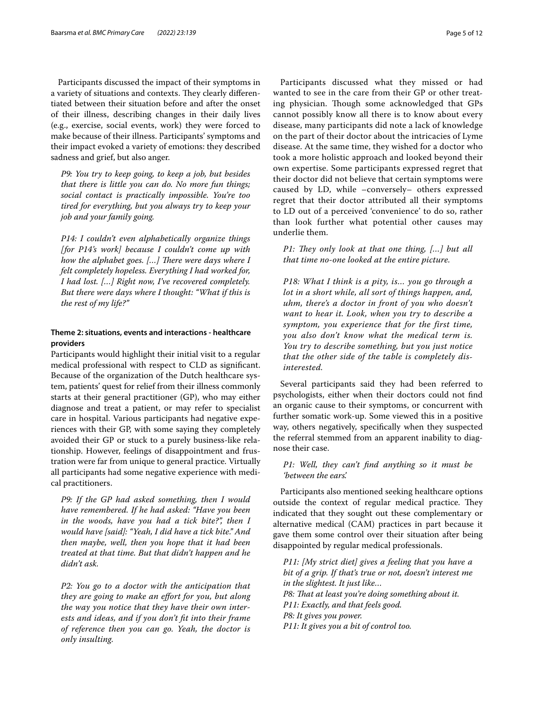Participants discussed the impact of their symptoms in a variety of situations and contexts. They clearly differentiated between their situation before and after the onset of their illness, describing changes in their daily lives (e.g., exercise, social events, work) they were forced to make because of their illness. Participants' symptoms and their impact evoked a variety of emotions: they described sadness and grief, but also anger.

*P9: You try to keep going, to keep a job, but besides that there is little you can do. No more fun things; social contact is practically impossible. You're too tired for everything, but you always try to keep your job and your family going.*

*P14: I couldn't even alphabetically organize things [for P14's work] because I couldn't come up with how the alphabet goes. [...] There were days where I felt completely hopeless. Everything I had worked for, I had lost. […] Right now, I've recovered completely. But there were days where I thought: "What if this is the rest of my life?"*

# **Theme 2: situations, events and interactions ‑ healthcare providers**

Participants would highlight their initial visit to a regular medical professional with respect to CLD as signifcant. Because of the organization of the Dutch healthcare system, patients' quest for relief from their illness commonly starts at their general practitioner (GP), who may either diagnose and treat a patient, or may refer to specialist care in hospital. Various participants had negative experiences with their GP, with some saying they completely avoided their GP or stuck to a purely business-like relationship. However, feelings of disappointment and frustration were far from unique to general practice. Virtually all participants had some negative experience with medical practitioners.

*P9: If the GP had asked something, then I would have remembered. If he had asked: "Have you been in the woods, have you had a tick bite?", then I would have [said]: "Yeah, I did have a tick bite." And then maybe, well, then you hope that it had been treated at that time. But that didn't happen and he didn't ask.*

*P2: You go to a doctor with the anticipation that they are going to make an efort for you, but along the way you notice that they have their own interests and ideas, and if you don't ft into their frame of reference then you can go. Yeah, the doctor is only insulting.*

Participants discussed what they missed or had wanted to see in the care from their GP or other treating physician. Though some acknowledged that GPs cannot possibly know all there is to know about every disease, many participants did note a lack of knowledge on the part of their doctor about the intricacies of Lyme disease. At the same time, they wished for a doctor who took a more holistic approach and looked beyond their own expertise. Some participants expressed regret that their doctor did not believe that certain symptoms were caused by LD, while –conversely– others expressed regret that their doctor attributed all their symptoms to LD out of a perceived 'convenience' to do so, rather than look further what potential other causes may underlie them.

*P1: They only look at that one thing, [...] but all that time no-one looked at the entire picture.*

*P18: What I think is a pity, is… you go through a lot in a short while, all sort of things happen, and, uhm, there's a doctor in front of you who doesn't want to hear it. Look, when you try to describe a symptom, you experience that for the first time, you also don't know what the medical term is. You try to describe something, but you just notice that the other side of the table is completely disinterested.*

Several participants said they had been referred to psychologists, either when their doctors could not fnd an organic cause to their symptoms, or concurrent with further somatic work-up. Some viewed this in a positive way, others negatively, specifcally when they suspected the referral stemmed from an apparent inability to diagnose their case.

# *P1: Well, they can't fnd anything so it must be 'between the ears'.*

Participants also mentioned seeking healthcare options outside the context of regular medical practice. They indicated that they sought out these complementary or alternative medical (CAM) practices in part because it gave them some control over their situation after being disappointed by regular medical professionals.

*P11: [My strict diet] gives a feeling that you have a bit of a grip. If that's true or not, doesn't interest me in the slightest. It just like… P8: Tat at least you're doing something about it. P11: Exactly, and that feels good. P8: It gives you power. P11: It gives you a bit of control too.*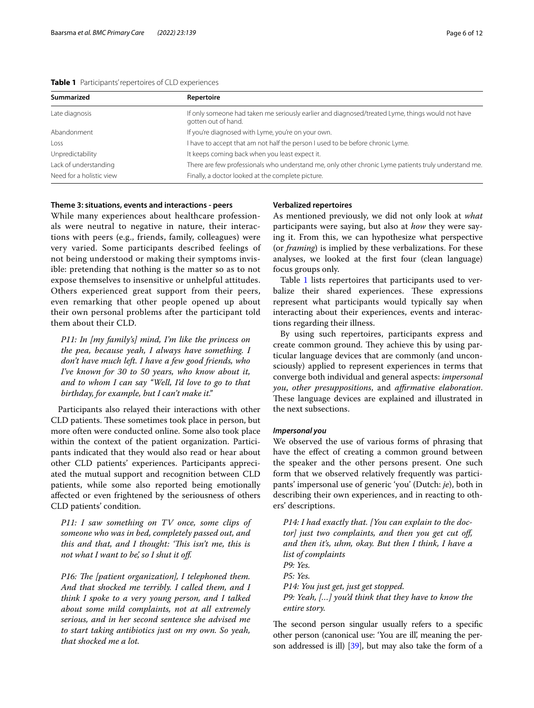| Summarized               | Repertoire                                                                                                              |
|--------------------------|-------------------------------------------------------------------------------------------------------------------------|
| Late diagnosis           | If only someone had taken me seriously earlier and diagnosed/treated Lyme, things would not have<br>gotten out of hand. |
| Abandonment              | If you're diagnosed with Lyme, you're on your own.                                                                      |
| Loss                     | I have to accept that am not half the person I used to be before chronic Lyme.                                          |
| Unpredictability         | It keeps coming back when you least expect it.                                                                          |
| Lack of understanding    | There are few professionals who understand me, only other chronic Lyme patients truly understand me.                    |
| Need for a holistic view | Finally, a doctor looked at the complete picture.                                                                       |
|                          |                                                                                                                         |

# <span id="page-5-0"></span>**Table 1** Participants' repertoires of CLD experiences

# **Theme 3: situations, events and interactions ‑ peers**

While many experiences about healthcare professionals were neutral to negative in nature, their interactions with peers (e.g., friends, family, colleagues) were very varied. Some participants described feelings of not being understood or making their symptoms invisible: pretending that nothing is the matter so as to not expose themselves to insensitive or unhelpful attitudes. Others experienced great support from their peers, even remarking that other people opened up about their own personal problems after the participant told them about their CLD.

*P11: In [my family's] mind, I'm like the princess on the pea, because yeah, I always have something. I don't have much left. I have a few good friends, who I've known for 30 to 50 years, who know about it, and to whom I can say "Well, I'd love to go to that birthday, for example, but I can't make it."*

Participants also relayed their interactions with other CLD patients. These sometimes took place in person, but more often were conducted online. Some also took place within the context of the patient organization. Participants indicated that they would also read or hear about other CLD patients' experiences. Participants appreciated the mutual support and recognition between CLD patients, while some also reported being emotionally afected or even frightened by the seriousness of others CLD patients' condition.

*P11: I saw something on TV once, some clips of someone who was in bed, completely passed out, and this and that, and I thought: 'This isn't me, this is not what I want to be', so I shut it of.*

*P16: The [patient organization], I telephoned them. And that shocked me terribly. I called them, and I think I spoke to a very young person, and I talked about some mild complaints, not at all extremely serious, and in her second sentence she advised me to start taking antibiotics just on my own. So yeah, that shocked me a lot.*

# **Verbalized repertoires**

As mentioned previously, we did not only look at *what* participants were saying, but also at *how* they were saying it. From this, we can hypothesize what perspective (or *framing*) is implied by these verbalizations. For these analyses, we looked at the frst four (clean language) focus groups only.

Table [1](#page-5-0) lists repertoires that participants used to verbalize their shared experiences. These expressions represent what participants would typically say when interacting about their experiences, events and interactions regarding their illness.

By using such repertoires, participants express and create common ground. They achieve this by using particular language devices that are commonly (and unconsciously) applied to represent experiences in terms that converge both individual and general aspects: *impersonal you*, *other presuppositions*, and *afrmative elaboration*. These language devices are explained and illustrated in the next subsections.

### *Impersonal you*

We observed the use of various forms of phrasing that have the efect of creating a common ground between the speaker and the other persons present. One such form that we observed relatively frequently was participants' impersonal use of generic 'you' (Dutch: *je*), both in describing their own experiences, and in reacting to others' descriptions.

*P14: I had exactly that. [You can explain to the doctor] just two complaints, and then you get cut of, and then it's, uhm, okay. But then I think, I have a list of complaints P9: Yes. P5: Yes. P14: You just get, just get stopped. P9: Yeah, […] you'd think that they have to know the entire story.*

The second person singular usually refers to a specific other person (canonical use: 'You are ill', meaning the person addressed is ill) [\[39\]](#page-11-3), but may also take the form of a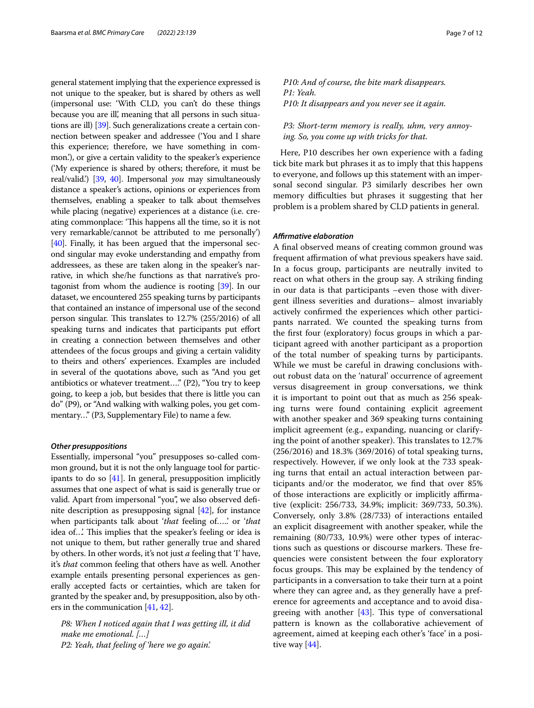general statement implying that the experience expressed is not unique to the speaker, but is shared by others as well (impersonal use: 'With CLD, you can't do these things because you are ill', meaning that all persons in such situations are ill) [\[39](#page-11-3)]. Such generalizations create a certain connection between speaker and addressee ('You and I share this experience; therefore, we have something in common.'), or give a certain validity to the speaker's experience ('My experience is shared by others; therefore, it must be real/valid.') [[39](#page-11-3), [40](#page-11-4)]. Impersonal *you* may simultaneously distance a speaker's actions, opinions or experiences from themselves, enabling a speaker to talk about themselves while placing (negative) experiences at a distance (i.e. creating commonplace: 'This happens all the time, so it is not very remarkable/cannot be attributed to me personally') [[40](#page-11-4)]. Finally, it has been argued that the impersonal second singular may evoke understanding and empathy from addressees, as these are taken along in the speaker's narrative, in which she/he functions as that narrative's protagonist from whom the audience is rooting [[39](#page-11-3)]. In our dataset, we encountered 255 speaking turns by participants that contained an instance of impersonal use of the second person singular. This translates to 12.7% (255/2016) of all speaking turns and indicates that participants put effort in creating a connection between themselves and other attendees of the focus groups and giving a certain validity to theirs and others' experiences. Examples are included in several of the quotations above, such as "And you get antibiotics or whatever treatment…." (P2), "You try to keep going, to keep a job, but besides that there is little you can do" (P9), or "And walking with walking poles, you get commentary…" (P3, Supplementary File) to name a few.

#### *Other presuppositions*

Essentially, impersonal "you" presupposes so-called common ground, but it is not the only language tool for participants to do so [[41](#page-11-5)]. In general, presupposition implicitly assumes that one aspect of what is said is generally true or valid. Apart from impersonal "you", we also observed defnite description as presupposing signal [[42](#page-11-6)], for instance when participants talk about '*that* feeling of…..' or '*that* idea of...' This implies that the speaker's feeling or idea is not unique to them, but rather generally true and shared by others. In other words, it's not just *a* feeling that 'I' have, it's *that* common feeling that others have as well. Another example entails presenting personal experiences as generally accepted facts or certainties, which are taken for granted by the speaker and, by presupposition, also by others in the communication [\[41,](#page-11-5) [42\]](#page-11-6).

*P8: When I noticed again that I was getting ill, it did make me emotional. […] P2: Yeah, that feeling of 'here we go again'.*

*P10: And of course, the bite mark disappears. P1: Yeah. P10: It disappears and you never see it again.*

*P3: Short-term memory is really, uhm, very annoying. So, you come up with tricks for that.*

Here, P10 describes her own experience with a fading tick bite mark but phrases it as to imply that this happens to everyone, and follows up this statement with an impersonal second singular. P3 similarly describes her own memory difficulties but phrases it suggesting that her problem is a problem shared by CLD patients in general.

# *Afrmative elaboration*

A fnal observed means of creating common ground was frequent affirmation of what previous speakers have said. In a focus group, participants are neutrally invited to react on what others in the group say. A striking fnding in our data is that participants –even those with divergent illness severities and durations– almost invariably actively confrmed the experiences which other participants narrated. We counted the speaking turns from the frst four (exploratory) focus groups in which a participant agreed with another participant as a proportion of the total number of speaking turns by participants. While we must be careful in drawing conclusions without robust data on the 'natural' occurrence of agreement versus disagreement in group conversations, we think it is important to point out that as much as 256 speaking turns were found containing explicit agreement with another speaker and 369 speaking turns containing implicit agreement (e.g., expanding, nuancing or clarifying the point of another speaker). This translates to 12.7% (256/2016) and 18.3% (369/2016) of total speaking turns, respectively. However, if we only look at the 733 speaking turns that entail an actual interaction between participants and/or the moderator, we fnd that over 85% of those interactions are explicitly or implicitly afrmative (explicit: 256/733, 34.9%; implicit: 369/733, 50.3%). Conversely, only 3.8% (28/733) of interactions entailed an explicit disagreement with another speaker, while the remaining (80/733, 10.9%) were other types of interactions such as questions or discourse markers. These frequencies were consistent between the four exploratory focus groups. This may be explained by the tendency of participants in a conversation to take their turn at a point where they can agree and, as they generally have a preference for agreements and acceptance and to avoid disagreeing with another  $[43]$  $[43]$ . This type of conversational pattern is known as the collaborative achievement of agreement, aimed at keeping each other's 'face' in a positive way  $[44]$  $[44]$ .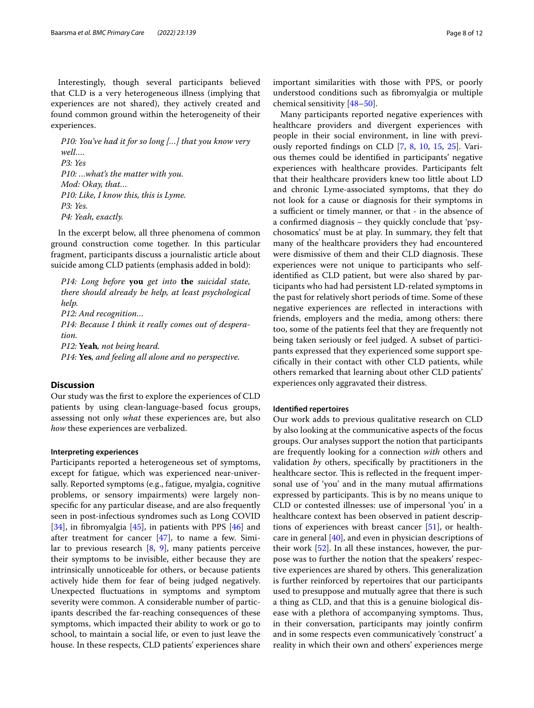Interestingly, though several participants believed that CLD is a very heterogeneous illness (implying that experiences are not shared), they actively created and found common ground within the heterogeneity of their experiences.

*P10: You've had it for so long […] that you know very well…. P3: Yes P10: …what's the matter with you. Mod: Okay, that… P10: Like, I know this, this is Lyme. P3: Yes. P4: Yeah, exactly.*

In the excerpt below, all three phenomena of common ground construction come together. In this particular fragment, participants discuss a journalistic article about suicide among CLD patients (emphasis added in bold):

*P14: Long before* **you** *get into* **the** *suicidal state, there should already be help, at least psychological help. P12: And recognition… P14: Because I think it really comes out of desperation. P12:* **Yeah***, not being heard. P14:* **Yes***, and feeling all alone and no perspective.*

# **Discussion**

Our study was the frst to explore the experiences of CLD patients by using clean-language-based focus groups, assessing not only *what* these experiences are, but also *how* these experiences are verbalized.

## **Interpreting experiences**

Participants reported a heterogeneous set of symptoms, except for fatigue, which was experienced near-universally. Reported symptoms (e.g., fatigue, myalgia, cognitive problems, or sensory impairments) were largely nonspecifc for any particular disease, and are also frequently seen in post-infectious syndromes such as Long COVID [[34\]](#page-11-9), in fibromyalgia [[45\]](#page-11-10), in patients with PPS [[46\]](#page-11-11) and after treatment for cancer [\[47](#page-11-12)], to name a few. Similar to previous research  $[8, 9]$  $[8, 9]$  $[8, 9]$ , many patients perceive their symptoms to be invisible, either because they are intrinsically unnoticeable for others, or because patients actively hide them for fear of being judged negatively. Unexpected fuctuations in symptoms and symptom severity were common. A considerable number of participants described the far-reaching consequences of these symptoms, which impacted their ability to work or go to school, to maintain a social life, or even to just leave the house. In these respects, CLD patients' experiences share important similarities with those with PPS, or poorly understood conditions such as fbromyalgia or multiple chemical sensitivity [\[48](#page-11-13)[–50\]](#page-11-14).

Many participants reported negative experiences with healthcare providers and divergent experiences with people in their social environment, in line with previously reported fndings on CLD [\[7](#page-10-6), [8,](#page-10-8) [10,](#page-10-7) [15](#page-10-14), [25\]](#page-10-20). Various themes could be identifed in participants' negative experiences with healthcare provides. Participants felt that their healthcare providers knew too little about LD and chronic Lyme-associated symptoms, that they do not look for a cause or diagnosis for their symptoms in a sufficient or timely manner, or that - in the absence of a confrmed diagnosis – they quickly conclude that 'psychosomatics' must be at play. In summary, they felt that many of the healthcare providers they had encountered were dismissive of them and their CLD diagnosis. These experiences were not unique to participants who selfidentifed as CLD patient, but were also shared by participants who had had persistent LD-related symptoms in the past for relatively short periods of time. Some of these negative experiences are refected in interactions with friends, employers and the media, among others: there too, some of the patients feel that they are frequently not being taken seriously or feel judged. A subset of participants expressed that they experienced some support specifcally in their contact with other CLD patients, while others remarked that learning about other CLD patients' experiences only aggravated their distress.

## **Identifed repertoires**

Our work adds to previous qualitative research on CLD by also looking at the communicative aspects of the focus groups. Our analyses support the notion that participants are frequently looking for a connection *with* others and validation *by* others, specifcally by practitioners in the healthcare sector. This is reflected in the frequent impersonal use of 'you' and in the many mutual affirmations expressed by participants. This is by no means unique to CLD or contested illnesses: use of impersonal 'you' in a healthcare context has been observed in patient descriptions of experiences with breast cancer [[51](#page-11-15)], or healthcare in general [\[40\]](#page-11-4), and even in physician descriptions of their work [\[52](#page-11-16)]. In all these instances, however, the purpose was to further the notion that the speakers' respective experiences are shared by others. This generalization is further reinforced by repertoires that our participants used to presuppose and mutually agree that there is such a thing as CLD, and that this is a genuine biological disease with a plethora of accompanying symptoms. Thus, in their conversation, participants may jointly confrm and in some respects even communicatively 'construct' a reality in which their own and others' experiences merge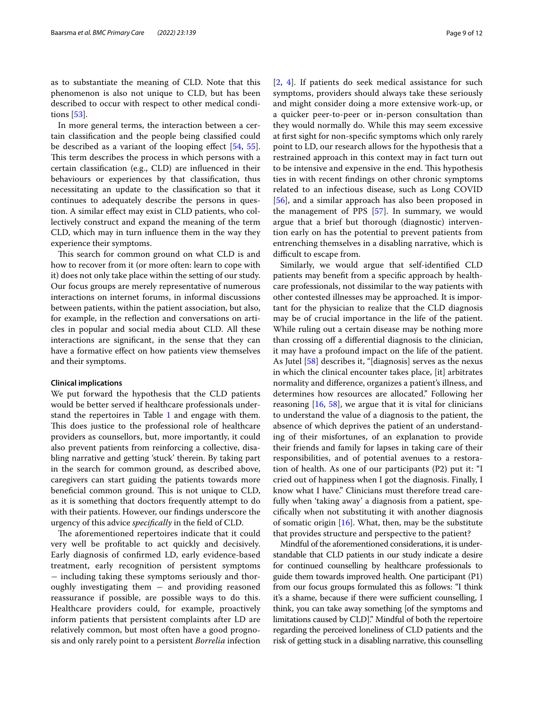as to substantiate the meaning of CLD. Note that this phenomenon is also not unique to CLD, but has been described to occur with respect to other medical conditions [\[53](#page-11-17)].

In more general terms, the interaction between a certain classifcation and the people being classifed could be described as a variant of the looping efect [\[54](#page-11-18), [55](#page-11-19)]. This term describes the process in which persons with a certain classifcation (e.g., CLD) are infuenced in their behaviours or experiences by that classifcation, thus necessitating an update to the classifcation so that it continues to adequately describe the persons in question. A similar efect may exist in CLD patients, who collectively construct and expand the meaning of the term CLD, which may in turn infuence them in the way they experience their symptoms.

This search for common ground on what CLD is and how to recover from it (or more often: learn to cope with it) does not only take place within the setting of our study. Our focus groups are merely representative of numerous interactions on internet forums, in informal discussions between patients, within the patient association, but also, for example, in the refection and conversations on articles in popular and social media about CLD. All these interactions are signifcant, in the sense that they can have a formative efect on how patients view themselves and their symptoms.

#### **Clinical implications**

We put forward the hypothesis that the CLD patients would be better served if healthcare professionals under-stand the repertoires in Table [1](#page-5-0) and engage with them. This does justice to the professional role of healthcare providers as counsellors, but, more importantly, it could also prevent patients from reinforcing a collective, disabling narrative and getting 'stuck' therein. By taking part in the search for common ground, as described above, caregivers can start guiding the patients towards more beneficial common ground. This is not unique to CLD, as it is something that doctors frequently attempt to do with their patients. However, our fndings underscore the urgency of this advice *specifcally* in the feld of CLD.

The aforementioned repertoires indicate that it could very well be proftable to act quickly and decisively. Early diagnosis of confrmed LD, early evidence-based treatment, early recognition of persistent symptoms − including taking these symptoms seriously and thoroughly investigating them  $-$  and providing reasoned reassurance if possible, are possible ways to do this. Healthcare providers could, for example, proactively inform patients that persistent complaints after LD are relatively common, but most often have a good prognosis and only rarely point to a persistent *Borrelia* infection [[2,](#page-10-1) [4\]](#page-10-3). If patients do seek medical assistance for such symptoms, providers should always take these seriously and might consider doing a more extensive work-up, or a quicker peer-to-peer or in-person consultation than they would normally do. While this may seem excessive at frst sight for non-specifc symptoms which only rarely point to LD, our research allows for the hypothesis that a restrained approach in this context may in fact turn out to be intensive and expensive in the end. This hypothesis ties in with recent fndings on other chronic symptoms related to an infectious disease, such as Long COVID [[56\]](#page-11-20), and a similar approach has also been proposed in the management of PPS [[57\]](#page-11-21). In summary, we would argue that a brief but thorough (diagnostic) intervention early on has the potential to prevent patients from entrenching themselves in a disabling narrative, which is difficult to escape from.

Similarly, we would argue that self-identifed CLD patients may beneft from a specifc approach by healthcare professionals, not dissimilar to the way patients with other contested illnesses may be approached. It is important for the physician to realize that the CLD diagnosis may be of crucial importance in the life of the patient. While ruling out a certain disease may be nothing more than crossing off a differential diagnosis to the clinician, it may have a profound impact on the life of the patient. As Jutel [\[58](#page-11-22)] describes it, "[diagnosis] serves as the nexus in which the clinical encounter takes place, [it] arbitrates normality and diference, organizes a patient's illness, and determines how resources are allocated." Following her reasoning  $[16, 58]$  $[16, 58]$  $[16, 58]$  $[16, 58]$ , we argue that it is vital for clinicians to understand the value of a diagnosis to the patient, the absence of which deprives the patient of an understanding of their misfortunes, of an explanation to provide their friends and family for lapses in taking care of their responsibilities, and of potential avenues to a restoration of health. As one of our participants (P2) put it: "I cried out of happiness when I got the diagnosis. Finally, I know what I have." Clinicians must therefore tread carefully when 'taking away' a diagnosis from a patient, specifcally when not substituting it with another diagnosis of somatic origin  $[16]$  $[16]$ . What, then, may be the substitute that provides structure and perspective to the patient?

Mindful of the aforementioned considerations, it is understandable that CLD patients in our study indicate a desire for continued counselling by healthcare professionals to guide them towards improved health. One participant (P1) from our focus groups formulated this as follows: "I think it's a shame, because if there were sufficient counselling, I think, you can take away something [of the symptoms and limitations caused by CLD]." Mindful of both the repertoire regarding the perceived loneliness of CLD patients and the risk of getting stuck in a disabling narrative, this counselling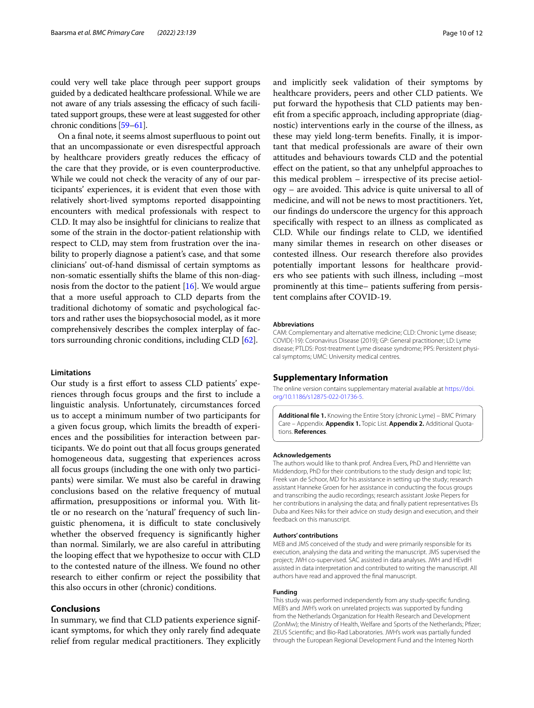could very well take place through peer support groups guided by a dedicated healthcare professional. While we are not aware of any trials assessing the efficacy of such facilitated support groups, these were at least suggested for other chronic conditions [\[59](#page-11-23)[–61\]](#page-11-24).

On a fnal note, it seems almost superfuous to point out that an uncompassionate or even disrespectful approach by healthcare providers greatly reduces the efficacy of the care that they provide, or is even counterproductive. While we could not check the veracity of any of our participants' experiences, it is evident that even those with relatively short-lived symptoms reported disappointing encounters with medical professionals with respect to CLD. It may also be insightful for clinicians to realize that some of the strain in the doctor-patient relationship with respect to CLD, may stem from frustration over the inability to properly diagnose a patient's case, and that some clinicians' out-of-hand dismissal of certain symptoms as non-somatic essentially shifts the blame of this non-diagnosis from the doctor to the patient [[16\]](#page-10-15). We would argue that a more useful approach to CLD departs from the traditional dichotomy of somatic and psychological factors and rather uses the biopsychosocial model, as it more comprehensively describes the complex interplay of factors surrounding chronic conditions, including CLD [[62](#page-11-25)].

#### **Limitations**

Our study is a frst efort to assess CLD patients' experiences through focus groups and the frst to include a linguistic analysis. Unfortunately, circumstances forced us to accept a minimum number of two participants for a given focus group, which limits the breadth of experiences and the possibilities for interaction between participants. We do point out that all focus groups generated homogeneous data, suggesting that experiences across all focus groups (including the one with only two participants) were similar. We must also be careful in drawing conclusions based on the relative frequency of mutual afrmation, presuppositions or informal you. With little or no research on the 'natural' frequency of such linguistic phenomena, it is difficult to state conclusively whether the observed frequency is signifcantly higher than normal. Similarly, we are also careful in attributing the looping efect that we hypothesize to occur with CLD to the contested nature of the illness. We found no other research to either confrm or reject the possibility that this also occurs in other (chronic) conditions.

# **Conclusions**

In summary, we fnd that CLD patients experience significant symptoms, for which they only rarely fnd adequate relief from regular medical practitioners. They explicitly and implicitly seek validation of their symptoms by healthcare providers, peers and other CLD patients. We put forward the hypothesis that CLD patients may beneft from a specifc approach, including appropriate (diagnostic) interventions early in the course of the illness, as these may yield long-term benefts. Finally, it is important that medical professionals are aware of their own attitudes and behaviours towards CLD and the potential efect on the patient, so that any unhelpful approaches to this medical problem – irrespective of its precise aetiol $ogy - are avoided. This advice is quite universal to all of$ medicine, and will not be news to most practitioners. Yet, our fndings do underscore the urgency for this approach specifcally with respect to an illness as complicated as CLD. While our fndings relate to CLD, we identifed many similar themes in research on other diseases or contested illness. Our research therefore also provides potentially important lessons for healthcare providers who see patients with such illness, including –most prominently at this time– patients sufering from persistent complains after COVID-19.

#### **Abbreviations**

CAM: Complementary and alternative medicine; CLD: Chronic Lyme disease; COVID(-19): Coronavirus Disease (2019); GP: General practitioner; LD: Lyme disease; PTLDS: Post-treatment Lyme disease syndrome; PPS: Persistent physical symptoms; UMC: University medical centres.

### **Supplementary Information**

The online version contains supplementary material available at [https://doi.](https://doi.org/10.1186/s12875-022-01736-5) [org/10.1186/s12875-022-01736-5](https://doi.org/10.1186/s12875-022-01736-5).

<span id="page-9-0"></span>**Additional fle 1.** Knowing the Entire Story (chronic Lyme) – BMC Primary Care – Appendix. **Appendix 1.** Topic List. **Appendix 2.** Additional Quotations. **References**.

#### **Acknowledgements**

The authors would like to thank prof. Andrea Evers, PhD and Henriëtte van Middendorp, PhD for their contributions to the study design and topic list; Freek van de Schoor, MD for his assistance in setting up the study; research assistant Hanneke Groen for her assistance in conducting the focus groups and transcribing the audio recordings; research assistant Joske Piepers for her contributions in analysing the data; and fnally patient representatives Els Duba and Kees Niks for their advice on study design and execution, and their feedback on this manuscript.

### **Authors' contributions**

MEB and JMS conceived of the study and were primarily responsible for its execution, analysing the data and writing the manuscript. JMS supervised the project; JWH co-supervised. SAC assisted in data analyses. JWH and HEvdH assisted in data interpretation and contributed to writing the manuscript. All authors have read and approved the fnal manuscript.

#### **Funding**

This study was performed independently from any study-specifc funding. MEB's and JWH's work on unrelated projects was supported by funding from the Netherlands Organization for Health Research and Development (ZonMw); the Ministry of Health, Welfare and Sports of the Netherlands; Pfzer; ZEUS Scientifc; and Bio-Rad Laboratories. JWH's work was partially funded through the European Regional Development Fund and the Interreg North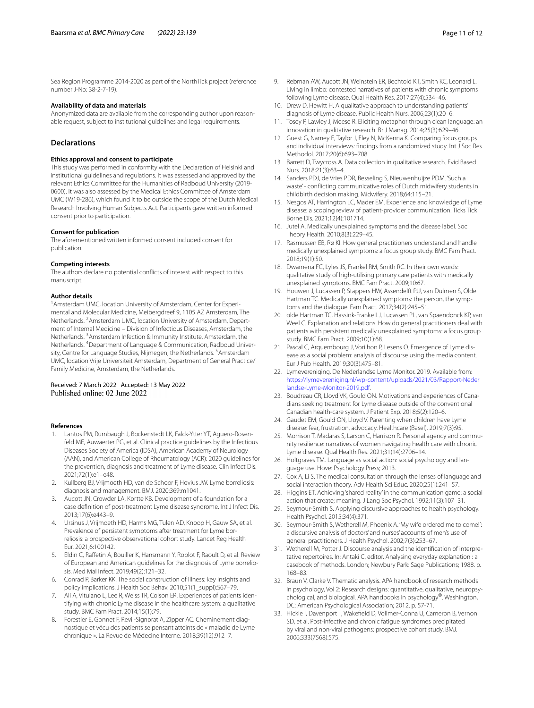Sea Region Programme 2014-2020 as part of the NorthTick project (reference number J-No: 38-2-7-19).

### **Availability of data and materials**

Anonymized data are available from the corresponding author upon reasonable request, subject to institutional guidelines and legal requirements.

# **Declarations**

#### **Ethics approval and consent to participate**

This study was performed in conformity with the Declaration of Helsinki and institutional guidelines and regulations. It was assessed and approved by the relevant Ethics Committee for the Humanities of Radboud University (2019- 0600). It was also assessed by the Medical Ethics Committee of Amsterdam UMC (W19-286), which found it to be outside the scope of the Dutch Medical Research Involving Human Subjects Act. Participants gave written informed consent prior to participation.

#### **Consent for publication**

The aforementioned written informed consent included consent for publication.

#### **Competing interests**

The authors declare no potential conficts of interest with respect to this manuscript.

#### **Author details**

<sup>1</sup> Amsterdam UMC, location University of Amsterdam, Center for Experimental and Molecular Medicine, Meibergdreef 9, 1105 AZ Amsterdam, The Netherlands. <sup>2</sup> Amsterdam UMC, location University of Amsterdam, Department of Internal Medicine – Division of Infectious Diseases, Amsterdam, the Netherlands. <sup>3</sup> Amsterdam Infection & Immunity Institute, Amsterdam, the Netherlands. <sup>4</sup>Department of Language & Communication, Radboud University, Centre for Language Studies, Nijmegen, the Netherlands. <sup>5</sup> Amsterdam UMC, location Vrije Universiteit Amsterdam, Department of General Practice/ Family Medicine, Amsterdam, the Netherlands.

Received: 7 March 2022 Accepted: 13 May 2022 Published online: 02 June 2022

#### **References**

- <span id="page-10-0"></span>Lantos PM, Rumbaugh J, Bockenstedt LK, Falck-Ytter YT, Aguero-Rosenfeld ME, Auwaerter PG, et al. Clinical practice guidelines by the Infectious Diseases Society of America (IDSA), American Academy of Neurology (AAN), and American College of Rheumatology (ACR): 2020 guidelines for the prevention, diagnosis and treatment of Lyme disease. Clin Infect Dis. 2021;72(1):e1–e48.
- <span id="page-10-1"></span>2. Kullberg BJ, Vrijmoeth HD, van de Schoor F, Hovius JW. Lyme borreliosis: diagnosis and management. BMJ. 2020;369:m1041.
- <span id="page-10-2"></span>3. Aucott JN, Crowder LA, Kortte KB. Development of a foundation for a case defnition of post-treatment Lyme disease syndrome. Int J Infect Dis. 2013;17(6):e443–9.
- <span id="page-10-3"></span>4. Ursinus J, Vrijmoeth HD, Harms MG, Tulen AD, Knoop H, Gauw SA, et al. Prevalence of persistent symptoms after treatment for Lyme borreliosis: a prospective observational cohort study. Lancet Reg Health Eur. 2021;6:100142.
- <span id="page-10-4"></span>5. Eldin C, Rafetin A, Bouiller K, Hansmann Y, Roblot F, Raoult D, et al. Review of European and American guidelines for the diagnosis of Lyme borreliosis. Med Mal Infect. 2019;49(2):121–32.
- <span id="page-10-5"></span>6. Conrad P, Barker KK. The social construction of illness: key insights and policy implications. J Health Soc Behav. 2010;51(1\_suppl):S67–79.
- <span id="page-10-6"></span>7. Ali A, Vitulano L, Lee R, Weiss TR, Colson ER. Experiences of patients identifying with chronic Lyme disease in the healthcare system: a qualitative study. BMC Fam Pract. 2014;15(1):79.
- <span id="page-10-8"></span>8. Forestier E, Gonnet F, Revil-Signorat A, Zipper AC. Cheminement diagnostique et vécu des patients se pensant atteints de « maladie de Lyme chronique ». La Revue de Médecine Interne. 2018;39(12):912–7.
- <span id="page-10-9"></span>9. Rebman AW, Aucott JN, Weinstein ER, Bechtold KT, Smith KC, Leonard L. Living in limbo: contested narratives of patients with chronic symptoms following Lyme disease. Qual Health Res. 2017;27(4):534–46.
- <span id="page-10-7"></span>10. Drew D, Hewitt H. A qualitative approach to understanding patients' diagnosis of Lyme disease. Public Health Nurs. 2006;23(1):20–6.
- <span id="page-10-10"></span>11. Tosey P, Lawley J, Meese R. Eliciting metaphor through clean language: an innovation in qualitative research. Br J Manag. 2014;25(3):629–46.
- <span id="page-10-11"></span>12. Guest G, Namey E, Taylor J, Eley N, McKenna K. Comparing focus groups and individual interviews: fndings from a randomized study. Int J Soc Res Methodol. 2017;20(6):693–708.
- <span id="page-10-12"></span>13. Barrett D, Twycross A. Data collection in qualitative research. Evid Based Nurs. 2018;21(3):63–4.
- <span id="page-10-13"></span>14. Sanders PDJ, de Vries PDR, Besseling S, Nieuwenhuijze PDM. 'Such a waste' - conflicting communicative roles of Dutch midwifery students in childbirth decision making. Midwifery. 2018;64:115–21.
- <span id="page-10-14"></span>15. Nesgos AT, Harrington LC, Mader EM. Experience and knowledge of Lyme disease: a scoping review of patient-provider communication. Ticks Tick Borne Dis. 2021;12(4):101714.
- <span id="page-10-15"></span>16. Jutel A. Medically unexplained symptoms and the disease label. Soc Theory Health. 2010;8(3):229–45.
- <span id="page-10-17"></span>17. Rasmussen EB, Rø KI. How general practitioners understand and handle medically unexplained symptoms: a focus group study. BMC Fam Pract. 2018;19(1):50.
- 18. Dwamena FC, Lyles JS, Frankel RM, Smith RC. In their own words: qualitative study of high-utilising primary care patients with medically unexplained symptoms. BMC Fam Pract. 2009;10:67.
- <span id="page-10-18"></span>19. Houwen J, Lucassen P, Stappers HW, Assendelft PJJ, van Dulmen S, Olde Hartman TC. Medically unexplained symptoms: the person, the symptoms and the dialogue. Fam Pract. 2017;34(2):245–51.
- <span id="page-10-16"></span>20. olde Hartman TC, Hassink-Franke LJ, Lucassen PL, van Spaendonck KP, van Weel C. Explanation and relations. How do general practitioners deal with patients with persistent medically unexplained symptoms: a focus group study. BMC Fam Pract. 2009;10(1):68.
- <span id="page-10-19"></span>21. Pascal C, Arquembourg J, Vorilhon P, Lesens O. Emergence of Lyme disease as a social problem: analysis of discourse using the media content. Eur J Pub Health. 2019;30(3):475–81.
- 22. Lymevereniging. De Nederlandse Lyme Monitor. 2019. Available from: [https://lymevereniging.nl/wp-content/uploads/2021/03/Rapport-Neder](https://lymevereniging.nl/wp-content/uploads/2021/03/Rapport-Nederlandse-Lyme-Monitor-2019.pdf) [landse-Lyme-Monitor-2019.pdf](https://lymevereniging.nl/wp-content/uploads/2021/03/Rapport-Nederlandse-Lyme-Monitor-2019.pdf).
- 23. Boudreau CR, Lloyd VK, Gould ON. Motivations and experiences of Canadians seeking treatment for Lyme disease outside of the conventional Canadian health-care system. J Patient Exp. 2018;5(2):120–6.
- 24. Gaudet EM, Gould ON, Lloyd V. Parenting when children have Lyme disease: fear, frustration, advocacy. Healthcare (Basel). 2019;7(3):95.
- <span id="page-10-20"></span>25. Morrison T, Madaras S, Larson C, Harrison R. Personal agency and community resilience: narratives of women navigating health care with chronic Lyme disease. Qual Health Res. 2021;31(14):2706–14.
- <span id="page-10-21"></span>26. Holtgraves TM. Language as social action: social psychology and language use. Hove: Psychology Press; 2013.
- <span id="page-10-22"></span>27. Cox A, Li S. The medical consultation through the lenses of language and social interaction theory. Adv Health Sci Educ. 2020;25(1):241–57.
- <span id="page-10-23"></span>28. Higgins ET. Achieving 'shared reality' in the communication game: a social action that create; meaning. J Lang Soc Psychol. 1992;11(3):107–31.
- <span id="page-10-24"></span>29. Seymour-Smith S. Applying discursive approaches to health psychology. Health Psychol. 2015;34(4):371.
- <span id="page-10-25"></span>30. Seymour-Smith S, Wetherell M, Phoenix A. 'My wife ordered me to come!': a discursive analysis of doctors' and nurses' accounts of men's use of general practitioners. J Health Psychol. 2002;7(3):253–67.
- 31. Wetherell M, Potter J. Discourse analysis and the identifcation of interpretative repertoires. In: Antaki C, editor. Analysing everyday explanation : a casebook of methods. London; Newbury Park: Sage Publications; 1988. p. 168–83.
- <span id="page-10-26"></span>32. Braun V, Clarke V. Thematic analysis. APA handbook of research methods in psychology, Vol 2: Research designs: quantitative, qualitative, neuropsychological, and biological. APA handbooks in psychology®. Washington, DC: American Psychological Association; 2012. p. 57-71.
- <span id="page-10-27"></span>33. Hickie I, Davenport T, Wakefeld D, Vollmer-Conna U, Cameron B, Vernon SD, et al. Post-infective and chronic fatigue syndromes precipitated by viral and non-viral pathogens: prospective cohort study. BMJ. 2006;333(7568):575.